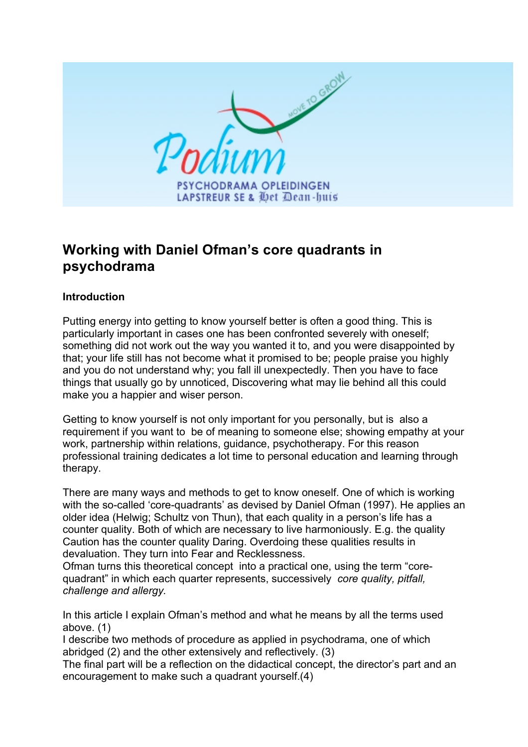

# **Working with Daniel Ofman's core quadrants in psychodrama**

### **Introduction**

Putting energy into getting to know yourself better is often a good thing. This is particularly important in cases one has been confronted severely with oneself; something did not work out the way you wanted it to, and you were disappointed by that; your life still has not become what it promised to be; people praise you highly and you do not understand why; you fall ill unexpectedly. Then you have to face things that usually go by unnoticed, Discovering what may lie behind all this could make you a happier and wiser person.

Getting to know yourself is not only important for you personally, but is also a requirement if you want to be of meaning to someone else; showing empathy at your work, partnership within relations, guidance, psychotherapy. For this reason professional training dedicates a lot time to personal education and learning through therapy.

There are many ways and methods to get to know oneself. One of which is working with the so-called 'core-quadrants' as devised by Daniel Ofman (1997). He applies an older idea (Helwig; Schultz von Thun), that each quality in a person's life has a counter quality. Both of which are necessary to live harmoniously. E.g. the quality Caution has the counter quality Daring. Overdoing these qualities results in devaluation. They turn into Fear and Recklessness.

Ofman turns this theoretical concept into a practical one, using the term "corequadrant" in which each quarter represents, successively *core quality, pitfall, challenge and allergy.*

In this article I explain Ofman's method and what he means by all the terms used above. (1)

I describe two methods of procedure as applied in psychodrama, one of which abridged (2) and the other extensively and reflectively. (3)

The final part will be a reflection on the didactical concept, the director's part and an encouragement to make such a quadrant yourself.(4)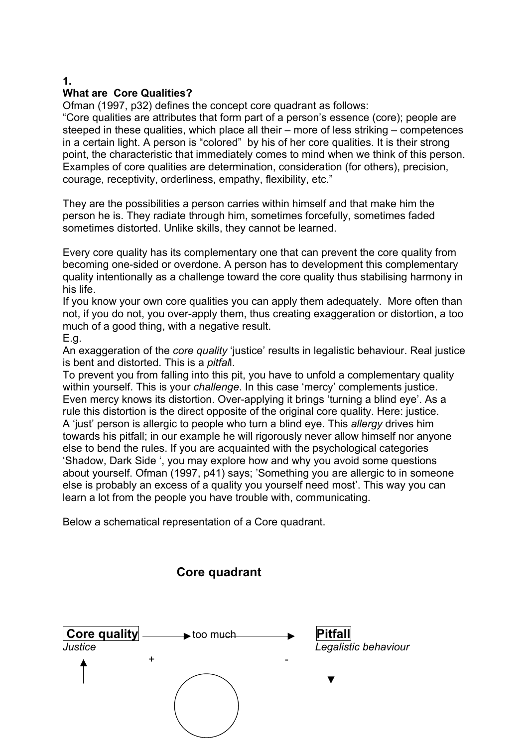# **What are Core Qualities?**

Ofman (1997, p32) defines the concept core quadrant as follows:

"Core qualities are attributes that form part of a person's essence (core); people are steeped in these qualities, which place all their – more of less striking – competences in a certain light. A person is "colored" by his of her core qualities. It is their strong point, the characteristic that immediately comes to mind when we think of this person. Examples of core qualities are determination, consideration (for others), precision, courage, receptivity, orderliness, empathy, flexibility, etc."

They are the possibilities a person carries within himself and that make him the person he is. They radiate through him, sometimes forcefully, sometimes faded sometimes distorted. Unlike skills, they cannot be learned.

Every core quality has its complementary one that can prevent the core quality from becoming one-sided or overdone. A person has to development this complementary quality intentionally as a challenge toward the core quality thus stabilising harmony in his life.

If you know your own core qualities you can apply them adequately. More often than not, if you do not, you over-apply them, thus creating exaggeration or distortion, a too much of a good thing, with a negative result.

E.g.

An exaggeration of the *core quality* 'justice' results in legalistic behaviour. Real justice is bent and distorted. This is a *pitfal*l.

To prevent you from falling into this pit, you have to unfold a complementary quality within yourself. This is your *challenge*. In this case 'mercy' complements justice. Even mercy knows its distortion. Over-applying it brings 'turning a blind eye'. As a rule this distortion is the direct opposite of the original core quality. Here: justice. A 'just' person is allergic to people who turn a blind eye. This *allergy* drives him towards his pitfall; in our example he will rigorously never allow himself nor anyone else to bend the rules. If you are acquainted with the psychological categories 'Shadow, Dark Side ', you may explore how and why you avoid some questions about yourself. Ofman (1997, p41) says; 'Something you are allergic to in someone else is probably an excess of a quality you yourself need most'. This way you can learn a lot from the people you have trouble with, communicating.

Below a schematical representation of a Core quadrant.

## **Core quadrant**



**1.**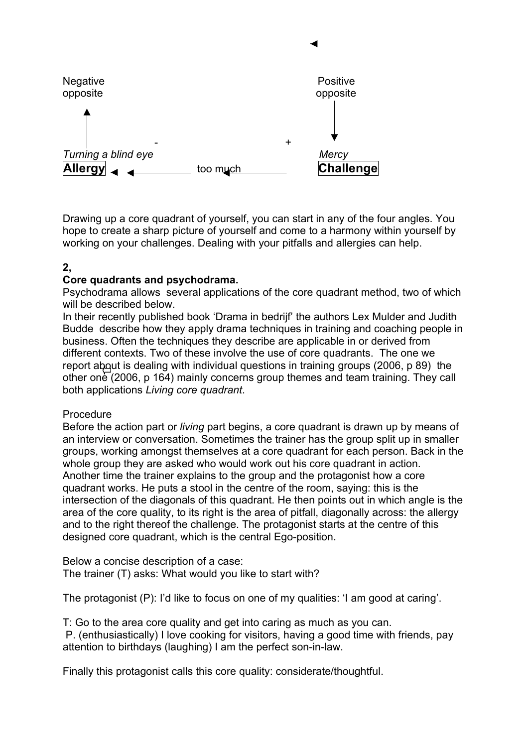

Drawing up a core quadrant of yourself, you can start in any of the four angles. You hope to create a sharp picture of yourself and come to a harmony within yourself by working on your challenges. Dealing with your pitfalls and allergies can help.

### **2,**

#### **Core quadrants and psychodrama.**

Psychodrama allows several applications of the core quadrant method, two of which will be described below.

In their recently published book 'Drama in bedrijf' the authors Lex Mulder and Judith Budde describe how they apply drama techniques in training and coaching people in business. Often the techniques they describe are applicable in or derived from different contexts. Two of these involve the use of core quadrants. The one we report about is dealing with individual questions in training groups (2006, p 89) the other one  $(2006, p 164)$  mainly concerns group themes and team training. They call both applications *Living core quadrant*.

#### Procedure

Before the action part or *living* part begins, a core quadrant is drawn up by means of an interview or conversation. Sometimes the trainer has the group split up in smaller groups, working amongst themselves at a core quadrant for each person. Back in the whole group they are asked who would work out his core quadrant in action. Another time the trainer explains to the group and the protagonist how a core quadrant works. He puts a stool in the centre of the room, saying: this is the intersection of the diagonals of this quadrant. He then points out in which angle is the area of the core quality, to its right is the area of pitfall, diagonally across: the allergy and to the right thereof the challenge. The protagonist starts at the centre of this designed core quadrant, which is the central Ego-position.

Below a concise description of a case: The trainer (T) asks: What would you like to start with?

The protagonist (P): I'd like to focus on one of my qualities: 'I am good at caring'.

T: Go to the area core quality and get into caring as much as you can. P. (enthusiastically) I love cooking for visitors, having a good time with friends, pay attention to birthdays (laughing) I am the perfect son-in-law.

Finally this protagonist calls this core quality: considerate/thoughtful.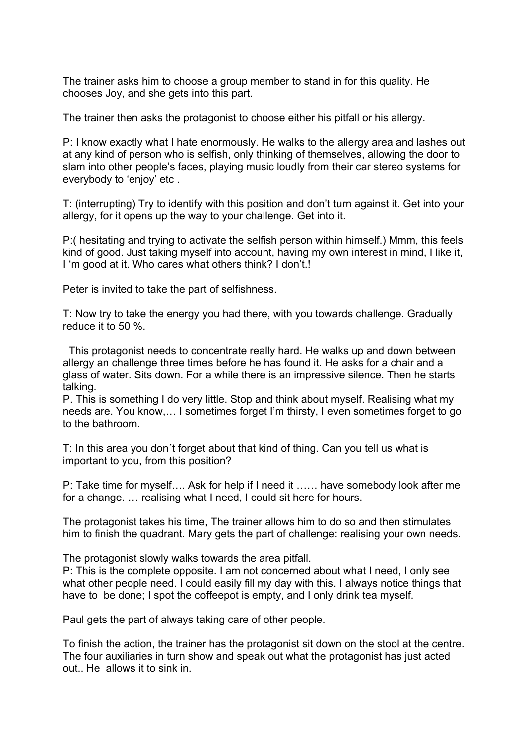The trainer asks him to choose a group member to stand in for this quality. He chooses Joy, and she gets into this part.

The trainer then asks the protagonist to choose either his pitfall or his allergy.

P: I know exactly what I hate enormously. He walks to the allergy area and lashes out at any kind of person who is selfish, only thinking of themselves, allowing the door to slam into other people's faces, playing music loudly from their car stereo systems for everybody to 'enjoy' etc .

T: (interrupting) Try to identify with this position and don't turn against it. Get into your allergy, for it opens up the way to your challenge. Get into it.

P:( hesitating and trying to activate the selfish person within himself.) Mmm, this feels kind of good. Just taking myself into account, having my own interest in mind, I like it, I 'm good at it. Who cares what others think? I don't.!

Peter is invited to take the part of selfishness.

T: Now try to take the energy you had there, with you towards challenge. Gradually reduce it to 50 %.

 This protagonist needs to concentrate really hard. He walks up and down between allergy an challenge three times before he has found it. He asks for a chair and a glass of water. Sits down. For a while there is an impressive silence. Then he starts talking.

P. This is something I do very little. Stop and think about myself. Realising what my needs are. You know,… I sometimes forget I'm thirsty, I even sometimes forget to go to the bathroom.

T: In this area you don´t forget about that kind of thing. Can you tell us what is important to you, from this position?

P: Take time for myself…. Ask for help if I need it …… have somebody look after me for a change. … realising what I need, I could sit here for hours.

The protagonist takes his time, The trainer allows him to do so and then stimulates him to finish the quadrant. Mary gets the part of challenge: realising your own needs.

The protagonist slowly walks towards the area pitfall.

P: This is the complete opposite. I am not concerned about what I need, I only see what other people need. I could easily fill my day with this. I always notice things that have to be done; I spot the coffeepot is empty, and I only drink tea myself.

Paul gets the part of always taking care of other people.

To finish the action, the trainer has the protagonist sit down on the stool at the centre. The four auxiliaries in turn show and speak out what the protagonist has just acted out.. He allows it to sink in.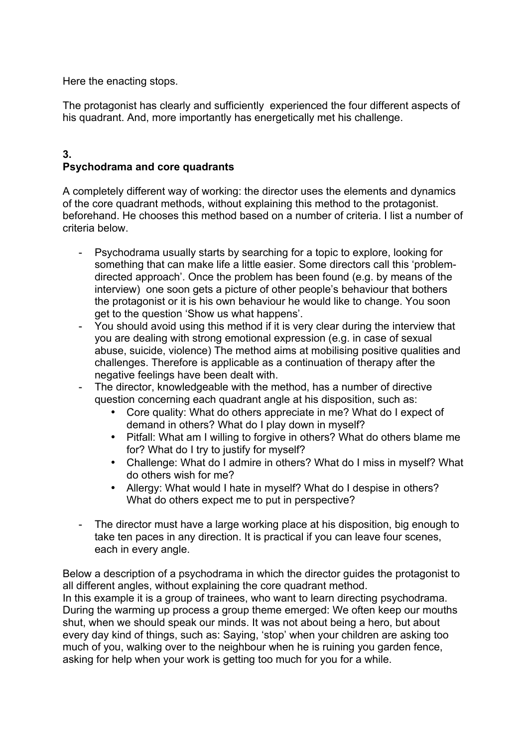Here the enacting stops.

The protagonist has clearly and sufficiently experienced the four different aspects of his quadrant. And, more importantly has energetically met his challenge.

### **3. Psychodrama and core quadrants**

A completely different way of working: the director uses the elements and dynamics of the core quadrant methods, without explaining this method to the protagonist. beforehand. He chooses this method based on a number of criteria. I list a number of criteria below.

- Psychodrama usually starts by searching for a topic to explore, looking for something that can make life a little easier. Some directors call this 'problemdirected approach'. Once the problem has been found (e.g. by means of the interview) one soon gets a picture of other people's behaviour that bothers the protagonist or it is his own behaviour he would like to change. You soon get to the question 'Show us what happens'.
- You should avoid using this method if it is very clear during the interview that you are dealing with strong emotional expression (e.g. in case of sexual abuse, suicide, violence) The method aims at mobilising positive qualities and challenges. Therefore is applicable as a continuation of therapy after the negative feelings have been dealt with.
- The director, knowledgeable with the method, has a number of directive question concerning each quadrant angle at his disposition, such as:
	- Core quality: What do others appreciate in me? What do I expect of demand in others? What do I play down in myself?
	- Pitfall: What am I willing to forgive in others? What do others blame me for? What do I try to justify for myself?
	- Challenge: What do I admire in others? What do I miss in myself? What do others wish for me?
	- Allergy: What would I hate in myself? What do I despise in others? What do others expect me to put in perspective?
- The director must have a large working place at his disposition, big enough to take ten paces in any direction. It is practical if you can leave four scenes, each in every angle.

Below a description of a psychodrama in which the director guides the protagonist to all different angles, without explaining the core quadrant method. In this example it is a group of trainees, who want to learn directing psychodrama. During the warming up process a group theme emerged: We often keep our mouths shut, when we should speak our minds. It was not about being a hero, but about every day kind of things, such as: Saying, 'stop' when your children are asking too much of you, walking over to the neighbour when he is ruining you garden fence, asking for help when your work is getting too much for you for a while.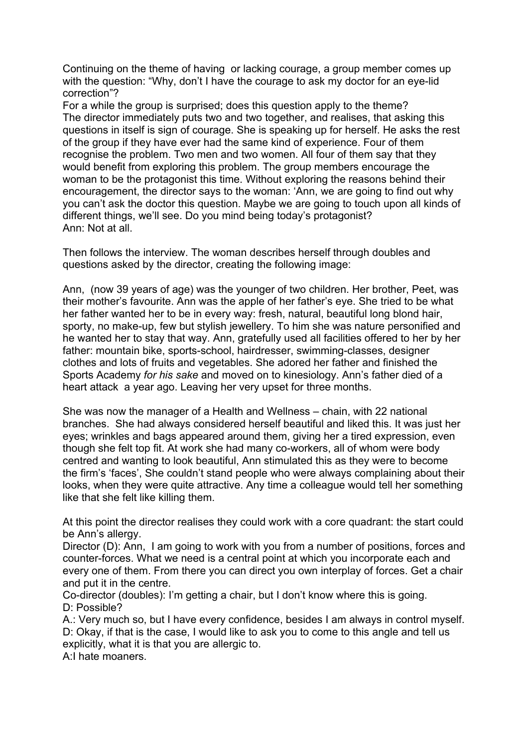Continuing on the theme of having or lacking courage, a group member comes up with the question: "Why, don't I have the courage to ask my doctor for an eye-lid correction"?

For a while the group is surprised; does this question apply to the theme? The director immediately puts two and two together, and realises, that asking this questions in itself is sign of courage. She is speaking up for herself. He asks the rest of the group if they have ever had the same kind of experience. Four of them recognise the problem. Two men and two women. All four of them say that they would benefit from exploring this problem. The group members encourage the woman to be the protagonist this time. Without exploring the reasons behind their encouragement, the director says to the woman: 'Ann, we are going to find out why you can't ask the doctor this question. Maybe we are going to touch upon all kinds of different things, we'll see. Do you mind being today's protagonist? Ann: Not at all.

Then follows the interview. The woman describes herself through doubles and questions asked by the director, creating the following image:

Ann, (now 39 years of age) was the younger of two children. Her brother, Peet, was their mother's favourite. Ann was the apple of her father's eye. She tried to be what her father wanted her to be in every way: fresh, natural, beautiful long blond hair, sporty, no make-up, few but stylish jewellery. To him she was nature personified and he wanted her to stay that way. Ann, gratefully used all facilities offered to her by her father: mountain bike, sports-school, hairdresser, swimming-classes, designer clothes and lots of fruits and vegetables. She adored her father and finished the Sports Academy *for his sake* and moved on to kinesiology. Ann's father died of a heart attack a year ago. Leaving her very upset for three months.

She was now the manager of a Health and Wellness – chain, with 22 national branches. She had always considered herself beautiful and liked this. It was just her eyes; wrinkles and bags appeared around them, giving her a tired expression, even though she felt top fit. At work she had many co-workers, all of whom were body centred and wanting to look beautiful, Ann stimulated this as they were to become the firm's 'faces', She couldn't stand people who were always complaining about their looks, when they were quite attractive. Any time a colleague would tell her something like that she felt like killing them.

At this point the director realises they could work with a core quadrant: the start could be Ann's allergy.

Director (D): Ann, I am going to work with you from a number of positions, forces and counter-forces. What we need is a central point at which you incorporate each and every one of them. From there you can direct you own interplay of forces. Get a chair and put it in the centre.

Co-director (doubles): I'm getting a chair, but I don't know where this is going. D: Possible?

A.: Very much so, but I have every confidence, besides I am always in control myself. D: Okay, if that is the case, I would like to ask you to come to this angle and tell us explicitly, what it is that you are allergic to.

A:I hate moaners.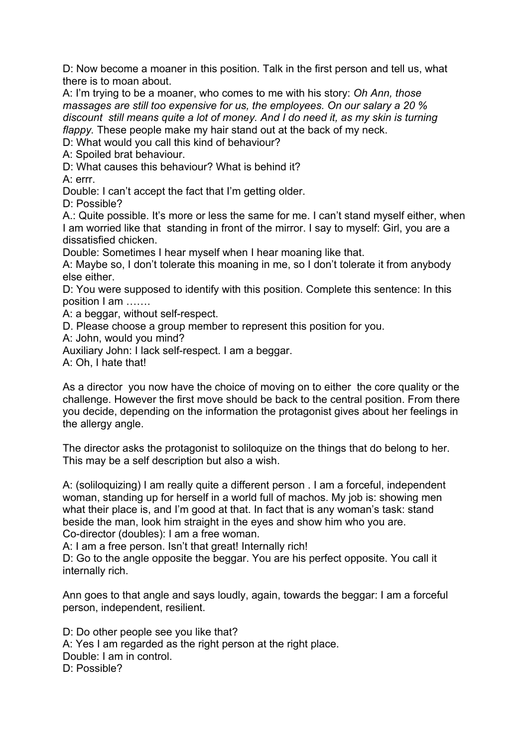D: Now become a moaner in this position. Talk in the first person and tell us, what there is to moan about.

A: I'm trying to be a moaner, who comes to me with his story: *Oh Ann, those massages are still too expensive for us, the employees. On our salary a 20 % discount still means quite a lot of money. And I do need it, as my skin is turning flappy.* These people make my hair stand out at the back of my neck.

D: What would you call this kind of behaviour?

A: Spoiled brat behaviour.

D: What causes this behaviour? What is behind it?

A: errr.

Double: I can't accept the fact that I'm getting older.

D: Possible?

A.: Quite possible. It's more or less the same for me. I can't stand myself either, when I am worried like that standing in front of the mirror. I say to myself: Girl, you are a dissatisfied chicken.

Double: Sometimes I hear myself when I hear moaning like that.

A: Maybe so, I don't tolerate this moaning in me, so I don't tolerate it from anybody else either.

D: You were supposed to identify with this position. Complete this sentence: In this position I am …….

A: a beggar, without self-respect.

D. Please choose a group member to represent this position for you.

A: John, would you mind?

Auxiliary John: I lack self-respect. I am a beggar.

A: Oh, I hate that!

As a director you now have the choice of moving on to either the core quality or the challenge. However the first move should be back to the central position. From there you decide, depending on the information the protagonist gives about her feelings in the allergy angle.

The director asks the protagonist to soliloquize on the things that do belong to her. This may be a self description but also a wish.

A: (soliloquizing) I am really quite a different person . I am a forceful, independent woman, standing up for herself in a world full of machos. My job is: showing men what their place is, and I'm good at that. In fact that is any woman's task: stand beside the man, look him straight in the eyes and show him who you are. Co-director (doubles): I am a free woman.

A: I am a free person. Isn't that great! Internally rich!

D: Go to the angle opposite the beggar. You are his perfect opposite. You call it internally rich.

Ann goes to that angle and says loudly, again, towards the beggar: I am a forceful person, independent, resilient.

D: Do other people see you like that? A: Yes I am regarded as the right person at the right place. Double: I am in control. D: Possible?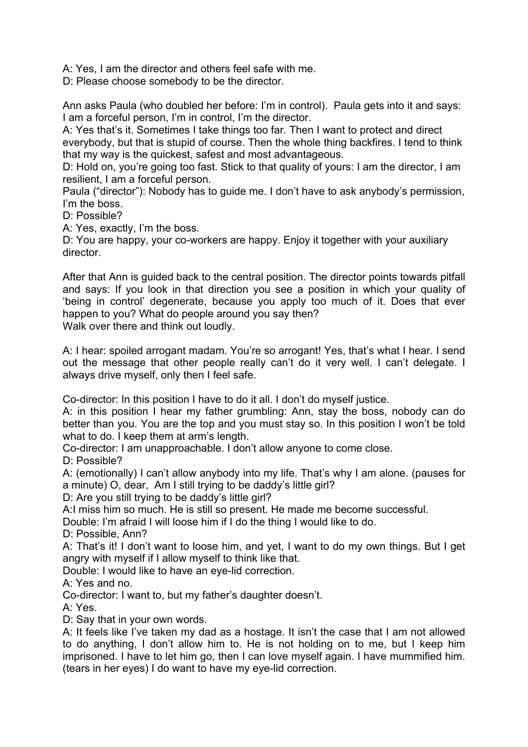A: Yes, I am the director and others feel safe with me.

D: Please choose somebody to be the director.

Ann asks Paula (who doubled her before: I'm in control). Paula gets into it and says: I am a forceful person, I'm in control, I'm the director.

A: Yes that's it. Sometimes I take things too far. Then I want to protect and direct everybody, but that is stupid of course. Then the whole thing backfires. I tend to think that my way is the quickest, safest and most advantageous.

D: Hold on, you're going too fast. Stick to that quality of yours: I am the director, I am resilient, I am a forceful person.

Paula ("director"): Nobody has to guide me. I don't have to ask anybody's permission, I'm the boss.

D: Possible?

A: Yes, exactly, I'm the boss.

D: You are happy, your co-workers are happy. Enjoy it together with your auxiliary director.

After that Ann is guided back to the central position. The director points towards pitfall and says: If you look in that direction you see a position in which your quality of 'being in control' degenerate, because you apply too much of it. Does that ever happen to you? What do people around you say then? Walk over there and think out loudly.

A: I hear: spoiled arrogant madam. You're so arrogant! Yes, that's what I hear. I send out the message that other people really can't do it very well. I can't delegate. I always drive myself, only then I feel safe.

Co-director: In this position I have to do it all. I don't do myself justice.

A: in this position I hear my father grumbling: Ann, stay the boss, nobody can do better than you. You are the top and you must stay so. In this position I won't be told what to do. I keep them at arm's length.

Co-director: I am unapproachable. I don't allow anyone to come close.

D: Possible?

A: (emotionally) I can't allow anybody into my life. That's why I am alone. (pauses for a minute) O, dear, Am I still trying to be daddy's little girl?

D: Are you still trying to be daddy's little girl?

A:I miss him so much. He is still so present. He made me become successful.

Double: I'm afraid I will loose him if I do the thing I would like to do.

D: Possible, Ann?

A: That's it! I don't want to loose him, and yet, I want to do my own things. But I get angry with myself if I allow myself to think like that.

Double: I would like to have an eye-lid correction.

A: Yes and no.

Co-director: I want to, but my father's daughter doesn't.

A: Yes.

D: Say that in your own words.

A: It feels like I've taken my dad as a hostage. It isn't the case that I am not allowed to do anything, I don't allow him to. He is not holding on to me, but I keep him imprisoned. I have to let him go, then I can love myself again. I have mummified him. (tears in her eyes) I do want to have my eye-lid correction.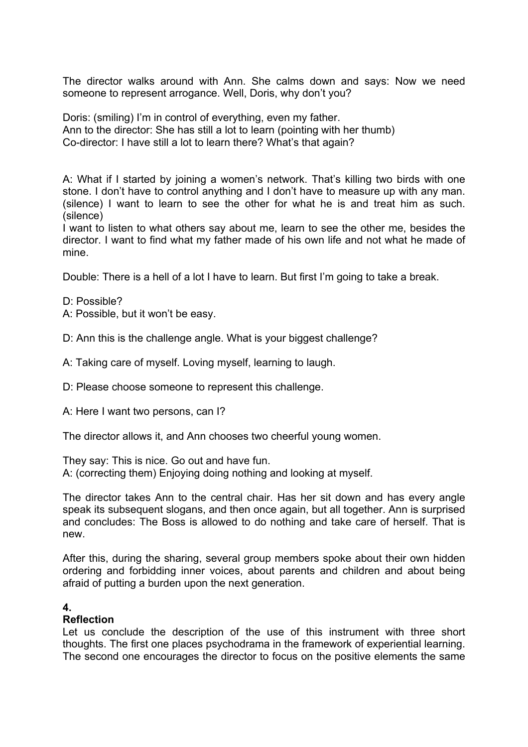The director walks around with Ann. She calms down and says: Now we need someone to represent arrogance. Well, Doris, why don't you?

Doris: (smiling) I'm in control of everything, even my father. Ann to the director: She has still a lot to learn (pointing with her thumb) Co-director: I have still a lot to learn there? What's that again?

A: What if I started by joining a women's network. That's killing two birds with one stone. I don't have to control anything and I don't have to measure up with any man. (silence) I want to learn to see the other for what he is and treat him as such. (silence)

I want to listen to what others say about me, learn to see the other me, besides the director. I want to find what my father made of his own life and not what he made of mine.

Double: There is a hell of a lot I have to learn. But first I'm going to take a break.

D: Possible?

A: Possible, but it won't be easy.

D: Ann this is the challenge angle. What is your biggest challenge?

A: Taking care of myself. Loving myself, learning to laugh.

D: Please choose someone to represent this challenge.

A: Here I want two persons, can I?

The director allows it, and Ann chooses two cheerful young women.

They say: This is nice. Go out and have fun.

A: (correcting them) Enjoying doing nothing and looking at myself.

The director takes Ann to the central chair. Has her sit down and has every angle speak its subsequent slogans, and then once again, but all together. Ann is surprised and concludes: The Boss is allowed to do nothing and take care of herself. That is new.

After this, during the sharing, several group members spoke about their own hidden ordering and forbidding inner voices, about parents and children and about being afraid of putting a burden upon the next generation.

#### **4.**

#### **Reflection**

Let us conclude the description of the use of this instrument with three short thoughts. The first one places psychodrama in the framework of experiential learning. The second one encourages the director to focus on the positive elements the same